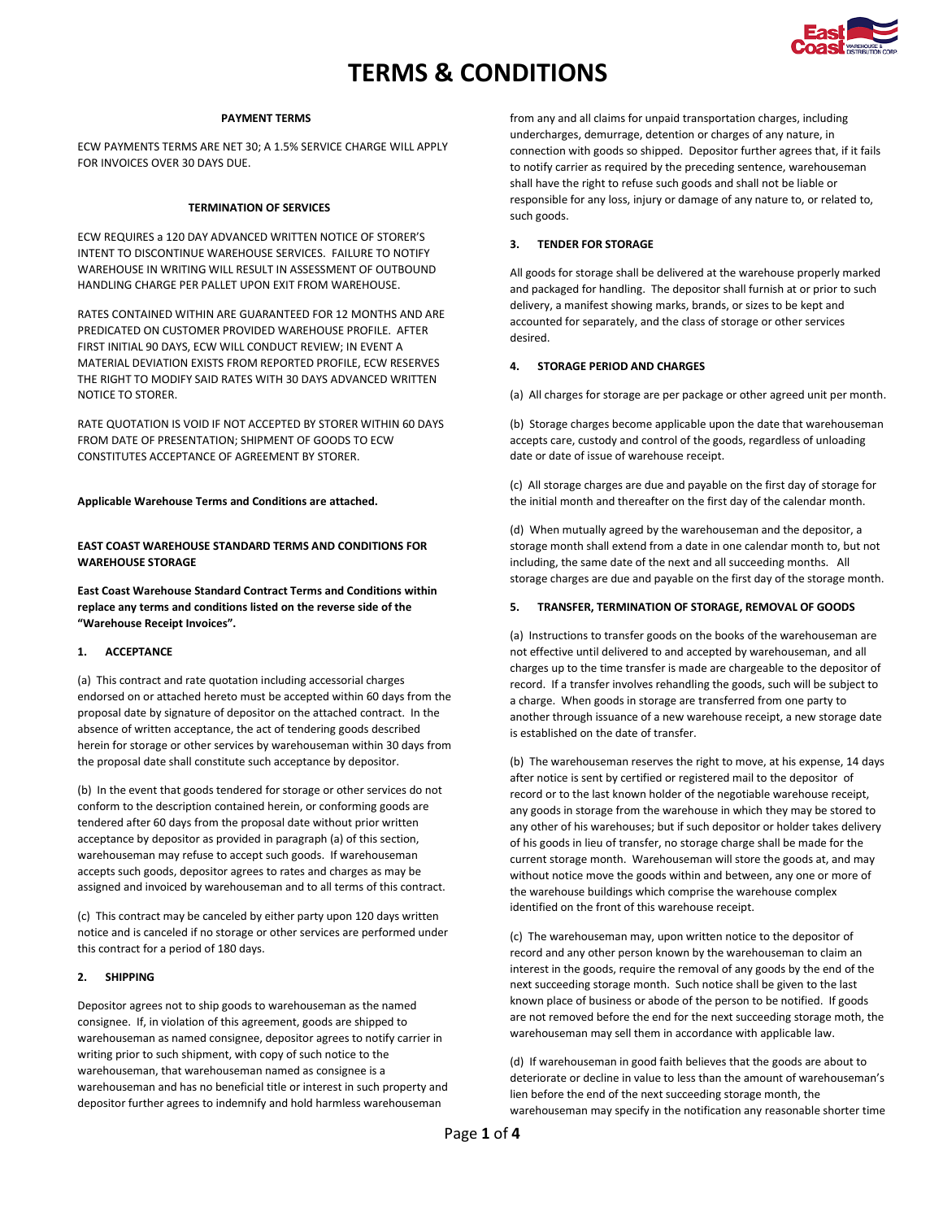

## **PAYMENT TERMS**

ECW PAYMENTS TERMS ARE NET 30; A 1.5% SERVICE CHARGE WILL APPLY FOR INVOICES OVER 30 DAYS DUE.

#### **TERMINATION OF SERVICES**

ECW REQUIRES a 120 DAY ADVANCED WRITTEN NOTICE OF STORER'S INTENT TO DISCONTINUE WAREHOUSE SERVICES. FAILURE TO NOTIFY WAREHOUSE IN WRITING WILL RESULT IN ASSESSMENT OF OUTBOUND HANDLING CHARGE PER PALLET UPON EXIT FROM WAREHOUSE.

RATES CONTAINED WITHIN ARE GUARANTEED FOR 12 MONTHS AND ARE PREDICATED ON CUSTOMER PROVIDED WAREHOUSE PROFILE. AFTER FIRST INITIAL 90 DAYS, ECW WILL CONDUCT REVIEW; IN EVENT A MATERIAL DEVIATION EXISTS FROM REPORTED PROFILE, ECW RESERVES THE RIGHT TO MODIFY SAID RATES WITH 30 DAYS ADVANCED WRITTEN NOTICE TO STORER.

RATE QUOTATION IS VOID IF NOT ACCEPTED BY STORER WITHIN 60 DAYS FROM DATE OF PRESENTATION; SHIPMENT OF GOODS TO ECW CONSTITUTES ACCEPTANCE OF AGREEMENT BY STORER.

**Applicable Warehouse Terms and Conditions are attached.**

## **EAST COAST WAREHOUSE STANDARD TERMS AND CONDITIONS FOR WAREHOUSE STORAGE**

**East Coast Warehouse Standard Contract Terms and Conditions within replace any terms and conditions listed on the reverse side of the "Warehouse Receipt Invoices".**

### **1. ACCEPTANCE**

(a) This contract and rate quotation including accessorial charges endorsed on or attached hereto must be accepted within 60 days from the proposal date by signature of depositor on the attached contract. In the absence of written acceptance, the act of tendering goods described herein for storage or other services by warehouseman within 30 days from the proposal date shall constitute such acceptance by depositor.

(b) In the event that goods tendered for storage or other services do not conform to the description contained herein, or conforming goods are tendered after 60 days from the proposal date without prior written acceptance by depositor as provided in paragraph (a) of this section, warehouseman may refuse to accept such goods. If warehouseman accepts such goods, depositor agrees to rates and charges as may be assigned and invoiced by warehouseman and to all terms of this contract.

(c) This contract may be canceled by either party upon 120 days written notice and is canceled if no storage or other services are performed under this contract for a period of 180 days.

### **2. SHIPPING**

Depositor agrees not to ship goods to warehouseman as the named consignee. If, in violation of this agreement, goods are shipped to warehouseman as named consignee, depositor agrees to notify carrier in writing prior to such shipment, with copy of such notice to the warehouseman, that warehouseman named as consignee is a warehouseman and has no beneficial title or interest in such property and depositor further agrees to indemnify and hold harmless warehouseman

from any and all claims for unpaid transportation charges, including undercharges, demurrage, detention or charges of any nature, in connection with goods so shipped. Depositor further agrees that, if it fails to notify carrier as required by the preceding sentence, warehouseman shall have the right to refuse such goods and shall not be liable or responsible for any loss, injury or damage of any nature to, or related to, such goods.

## **3. TENDER FOR STORAGE**

All goods for storage shall be delivered at the warehouse properly marked and packaged for handling. The depositor shall furnish at or prior to such delivery, a manifest showing marks, brands, or sizes to be kept and accounted for separately, and the class of storage or other services desired.

#### **4. STORAGE PERIOD AND CHARGES**

(a) All charges for storage are per package or other agreed unit per month.

(b) Storage charges become applicable upon the date that warehouseman accepts care, custody and control of the goods, regardless of unloading date or date of issue of warehouse receipt.

(c) All storage charges are due and payable on the first day of storage for the initial month and thereafter on the first day of the calendar month.

(d) When mutually agreed by the warehouseman and the depositor, a storage month shall extend from a date in one calendar month to, but not including, the same date of the next and all succeeding months. All storage charges are due and payable on the first day of the storage month.

#### **5. TRANSFER, TERMINATION OF STORAGE, REMOVAL OF GOODS**

(a) Instructions to transfer goods on the books of the warehouseman are not effective until delivered to and accepted by warehouseman, and all charges up to the time transfer is made are chargeable to the depositor of record. If a transfer involves rehandling the goods, such will be subject to a charge. When goods in storage are transferred from one party to another through issuance of a new warehouse receipt, a new storage date is established on the date of transfer.

(b) The warehouseman reserves the right to move, at his expense, 14 days after notice is sent by certified or registered mail to the depositor of record or to the last known holder of the negotiable warehouse receipt, any goods in storage from the warehouse in which they may be stored to any other of his warehouses; but if such depositor or holder takes delivery of his goods in lieu of transfer, no storage charge shall be made for the current storage month. Warehouseman will store the goods at, and may without notice move the goods within and between, any one or more of the warehouse buildings which comprise the warehouse complex identified on the front of this warehouse receipt.

(c) The warehouseman may, upon written notice to the depositor of record and any other person known by the warehouseman to claim an interest in the goods, require the removal of any goods by the end of the next succeeding storage month. Such notice shall be given to the last known place of business or abode of the person to be notified. If goods are not removed before the end for the next succeeding storage moth, the warehouseman may sell them in accordance with applicable law.

(d) If warehouseman in good faith believes that the goods are about to deteriorate or decline in value to less than the amount of warehouseman's lien before the end of the next succeeding storage month, the warehouseman may specify in the notification any reasonable shorter time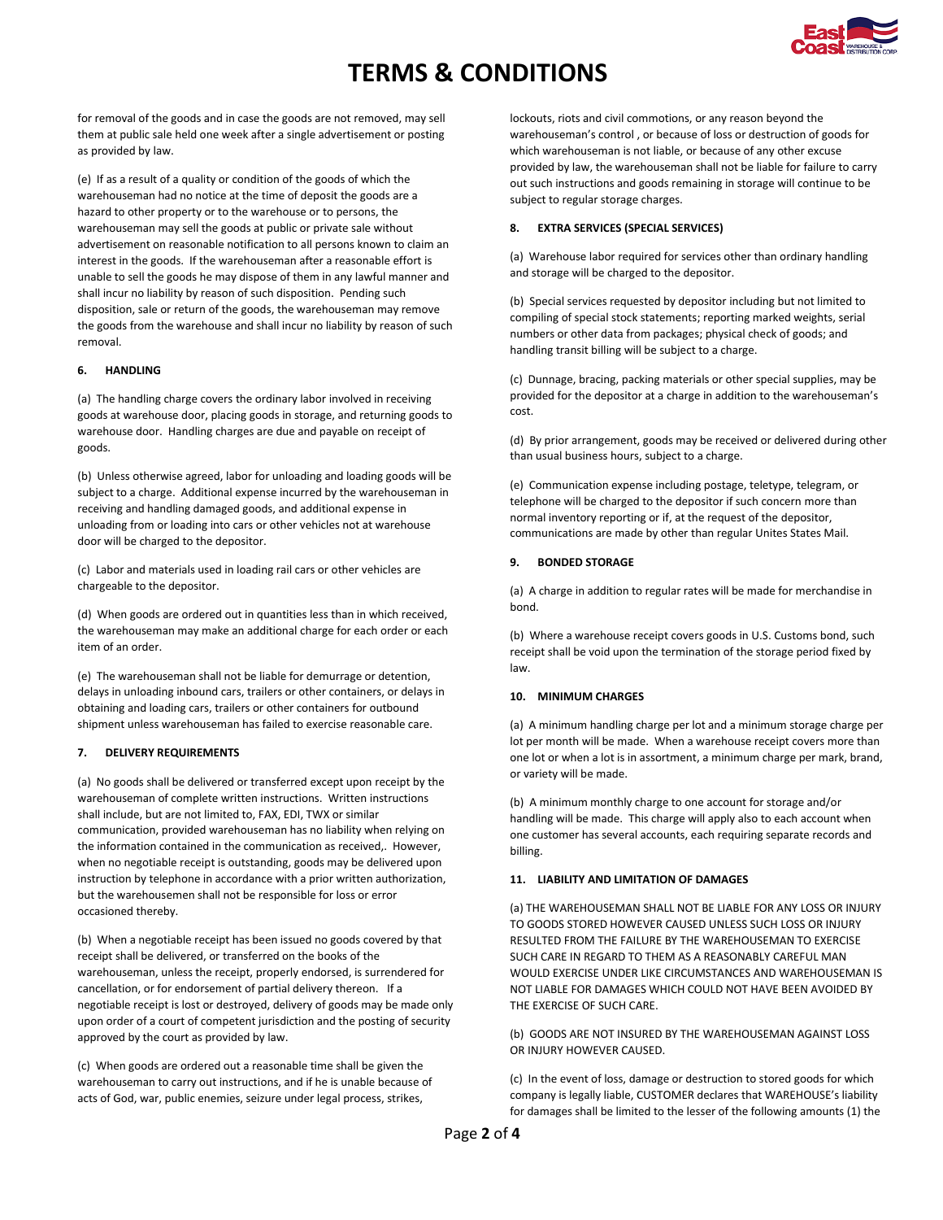

for removal of the goods and in case the goods are not removed, may sell them at public sale held one week after a single advertisement or posting as provided by law.

(e) If as a result of a quality or condition of the goods of which the warehouseman had no notice at the time of deposit the goods are a hazard to other property or to the warehouse or to persons, the warehouseman may sell the goods at public or private sale without advertisement on reasonable notification to all persons known to claim an interest in the goods. If the warehouseman after a reasonable effort is unable to sell the goods he may dispose of them in any lawful manner and shall incur no liability by reason of such disposition. Pending such disposition, sale or return of the goods, the warehouseman may remove the goods from the warehouse and shall incur no liability by reason of such removal.

#### **6. HANDLING**

(a) The handling charge covers the ordinary labor involved in receiving goods at warehouse door, placing goods in storage, and returning goods to warehouse door. Handling charges are due and payable on receipt of goods.

(b) Unless otherwise agreed, labor for unloading and loading goods will be subject to a charge. Additional expense incurred by the warehouseman in receiving and handling damaged goods, and additional expense in unloading from or loading into cars or other vehicles not at warehouse door will be charged to the depositor.

(c) Labor and materials used in loading rail cars or other vehicles are chargeable to the depositor.

(d) When goods are ordered out in quantities less than in which received, the warehouseman may make an additional charge for each order or each item of an order.

(e) The warehouseman shall not be liable for demurrage or detention, delays in unloading inbound cars, trailers or other containers, or delays in obtaining and loading cars, trailers or other containers for outbound shipment unless warehouseman has failed to exercise reasonable care.

### **7. DELIVERY REQUIREMENTS**

(a) No goods shall be delivered or transferred except upon receipt by the warehouseman of complete written instructions. Written instructions shall include, but are not limited to, FAX, EDI, TWX or similar communication, provided warehouseman has no liability when relying on the information contained in the communication as received,. However, when no negotiable receipt is outstanding, goods may be delivered upon instruction by telephone in accordance with a prior written authorization, but the warehousemen shall not be responsible for loss or error occasioned thereby.

(b) When a negotiable receipt has been issued no goods covered by that receipt shall be delivered, or transferred on the books of the warehouseman, unless the receipt, properly endorsed, is surrendered for cancellation, or for endorsement of partial delivery thereon. If a negotiable receipt is lost or destroyed, delivery of goods may be made only upon order of a court of competent jurisdiction and the posting of security approved by the court as provided by law.

(c) When goods are ordered out a reasonable time shall be given the warehouseman to carry out instructions, and if he is unable because of acts of God, war, public enemies, seizure under legal process, strikes,

lockouts, riots and civil commotions, or any reason beyond the warehouseman's control , or because of loss or destruction of goods for which warehouseman is not liable, or because of any other excuse provided by law, the warehouseman shall not be liable for failure to carry out such instructions and goods remaining in storage will continue to be subject to regular storage charges.

## **8. EXTRA SERVICES (SPECIAL SERVICES)**

(a) Warehouse labor required for services other than ordinary handling and storage will be charged to the depositor.

(b) Special services requested by depositor including but not limited to compiling of special stock statements; reporting marked weights, serial numbers or other data from packages; physical check of goods; and handling transit billing will be subject to a charge.

(c) Dunnage, bracing, packing materials or other special supplies, may be provided for the depositor at a charge in addition to the warehouseman's cost.

(d) By prior arrangement, goods may be received or delivered during other than usual business hours, subject to a charge.

(e) Communication expense including postage, teletype, telegram, or telephone will be charged to the depositor if such concern more than normal inventory reporting or if, at the request of the depositor, communications are made by other than regular Unites States Mail.

### **9. BONDED STORAGE**

(a) A charge in addition to regular rates will be made for merchandise in bond.

(b) Where a warehouse receipt covers goods in U.S. Customs bond, such receipt shall be void upon the termination of the storage period fixed by law.

## **10. MINIMUM CHARGES**

(a) A minimum handling charge per lot and a minimum storage charge per lot per month will be made. When a warehouse receipt covers more than one lot or when a lot is in assortment, a minimum charge per mark, brand, or variety will be made.

(b) A minimum monthly charge to one account for storage and/or handling will be made. This charge will apply also to each account when one customer has several accounts, each requiring separate records and billing.

## **11. LIABILITY AND LIMITATION OF DAMAGES**

(a) THE WAREHOUSEMAN SHALL NOT BE LIABLE FOR ANY LOSS OR INJURY TO GOODS STORED HOWEVER CAUSED UNLESS SUCH LOSS OR INJURY RESULTED FROM THE FAILURE BY THE WAREHOUSEMAN TO EXERCISE SUCH CARE IN REGARD TO THEM AS A REASONABLY CAREFUL MAN WOULD EXERCISE UNDER LIKE CIRCUMSTANCES AND WAREHOUSEMAN IS NOT LIABLE FOR DAMAGES WHICH COULD NOT HAVE BEEN AVOIDED BY THE EXERCISE OF SUCH CARE.

(b) GOODS ARE NOT INSURED BY THE WAREHOUSEMAN AGAINST LOSS OR INJURY HOWEVER CAUSED.

(c) In the event of loss, damage or destruction to stored goods for which company is legally liable, CUSTOMER declares that WAREHOUSE's liability for damages shall be limited to the lesser of the following amounts (1) the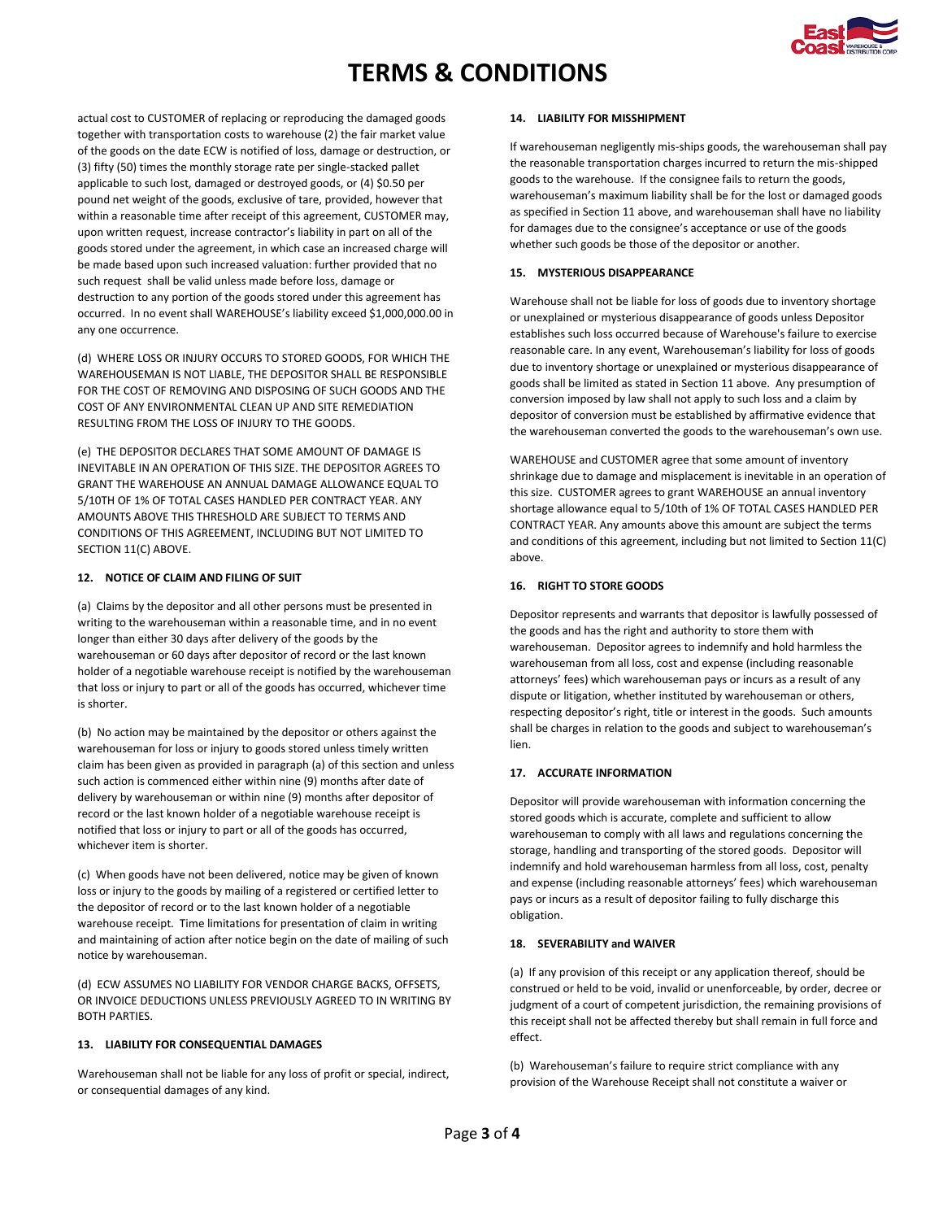

actual cost to CUSTOMER of replacing or reproducing the damaged goods together with transportation costs to warehouse (2) the fair market value of the goods on the date ECW is notified of loss, damage or destruction, or (3) fifty (50) times the monthly storage rate per single-stacked pallet applicable to such lost, damaged or destroyed goods, or (4) \$0.50 per pound net weight of the goods, exclusive of tare, provided, however that within a reasonable time after receipt of this agreement, CUSTOMER may, upon written request, increase contractor's liability in part on all of the goods stored under the agreement, in which case an increased charge will be made based upon such increased valuation: further provided that no such request shall be valid unless made before loss, damage or destruction to any portion of the goods stored under this agreement has occurred. In no event shall WAREHOUSE's liability exceed \$1,000,000.00 in any one occurrence.

(d) WHERE LOSS OR INJURY OCCURS TO STORED GOODS, FOR WHICH THE WAREHOUSEMAN IS NOT LIABLE, THE DEPOSITOR SHALL BE RESPONSIBLE FOR THE COST OF REMOVING AND DISPOSING OF SUCH GOODS AND THE COST OF ANY ENVIRONMENTAL CLEAN UP AND SITE REMEDIATION RESULTING FROM THE LOSS OF INJURY TO THE GOODS.

(e) THE DEPOSITOR DECLARES THAT SOME AMOUNT OF DAMAGE IS INEVITABLE IN AN OPERATION OF THIS SIZE. THE DEPOSITOR AGREES TO GRANT THE WAREHOUSE AN ANNUAL DAMAGE ALLOWANCE EQUAL TO 5/10TH OF 1% OF TOTAL CASES HANDLED PER CONTRACT YEAR. ANY AMOUNTS ABOVE THIS THRESHOLD ARE SUBJECT TO TERMS AND CONDITIONS OF THIS AGREEMENT, INCLUDING BUT NOT LIMITED TO SECTION 11(C) ABOVE.

### **12. NOTICE OF CLAIM AND FILING OF SUIT**

(a) Claims by the depositor and all other persons must be presented in writing to the warehouseman within a reasonable time, and in no event longer than either 30 days after delivery of the goods by the warehouseman or 60 days after depositor of record or the last known holder of a negotiable warehouse receipt is notified by the warehouseman that loss or injury to part or all of the goods has occurred, whichever time is shorter.

(b) No action may be maintained by the depositor or others against the warehouseman for loss or injury to goods stored unless timely written claim has been given as provided in paragraph (a) of this section and unless such action is commenced either within nine (9) months after date of delivery by warehouseman or within nine (9) months after depositor of record or the last known holder of a negotiable warehouse receipt is notified that loss or injury to part or all of the goods has occurred, whichever item is shorter.

(c) When goods have not been delivered, notice may be given of known loss or injury to the goods by mailing of a registered or certified letter to the depositor of record or to the last known holder of a negotiable warehouse receipt. Time limitations for presentation of claim in writing and maintaining of action after notice begin on the date of mailing of such notice by warehouseman.

(d) ECW ASSUMES NO LIABILITY FOR VENDOR CHARGE BACKS, OFFSETS, OR INVOICE DEDUCTIONS UNLESS PREVIOUSLY AGREED TO IN WRITING BY BOTH PARTIES.

#### **13. LIABILITY FOR CONSEQUENTIAL DAMAGES**

Warehouseman shall not be liable for any loss of profit or special, indirect, or consequential damages of any kind.

## **14. LIABILITY FOR MISSHIPMENT**

If warehouseman negligently mis-ships goods, the warehouseman shall pay the reasonable transportation charges incurred to return the mis-shipped goods to the warehouse. If the consignee fails to return the goods, warehouseman's maximum liability shall be for the lost or damaged goods as specified in Section 11 above, and warehouseman shall have no liability for damages due to the consignee's acceptance or use of the goods whether such goods be those of the depositor or another.

## **15. MYSTERIOUS DISAPPEARANCE**

Warehouse shall not be liable for loss of goods due to inventory shortage or unexplained or mysterious disappearance of goods unless Depositor establishes such loss occurred because of Warehouse's failure to exercise reasonable care. In any event, Warehouseman's liability for loss of goods due to inventory shortage or unexplained or mysterious disappearance of goods shall be limited as stated in Section 11 above. Any presumption of conversion imposed by law shall not apply to such loss and a claim by depositor of conversion must be established by affirmative evidence that the warehouseman converted the goods to the warehouseman's own use.

WAREHOUSE and CUSTOMER agree that some amount of inventory shrinkage due to damage and misplacement is inevitable in an operation of this size. CUSTOMER agrees to grant WAREHOUSE an annual inventory shortage allowance equal to 5/10th of 1% OF TOTAL CASES HANDLED PER CONTRACT YEAR. Any amounts above this amount are subject the terms and conditions of this agreement, including but not limited to Section 11(C) above.

#### **16. RIGHT TO STORE GOODS**

Depositor represents and warrants that depositor is lawfully possessed of the goods and has the right and authority to store them with warehouseman. Depositor agrees to indemnify and hold harmless the warehouseman from all loss, cost and expense (including reasonable attorneys' fees) which warehouseman pays or incurs as a result of any dispute or litigation, whether instituted by warehouseman or others, respecting depositor's right, title or interest in the goods. Such amounts shall be charges in relation to the goods and subject to warehouseman's lien.

#### **17. ACCURATE INFORMATION**

Depositor will provide warehouseman with information concerning the stored goods which is accurate, complete and sufficient to allow warehouseman to comply with all laws and regulations concerning the storage, handling and transporting of the stored goods. Depositor will indemnify and hold warehouseman harmless from all loss, cost, penalty and expense (including reasonable attorneys' fees) which warehouseman pays or incurs as a result of depositor failing to fully discharge this obligation.

### **18. SEVERABILITY and WAIVER**

(a) If any provision of this receipt or any application thereof, should be construed or held to be void, invalid or unenforceable, by order, decree or judgment of a court of competent jurisdiction, the remaining provisions of this receipt shall not be affected thereby but shall remain in full force and effect.

(b) Warehouseman's failure to require strict compliance with any provision of the Warehouse Receipt shall not constitute a waiver or